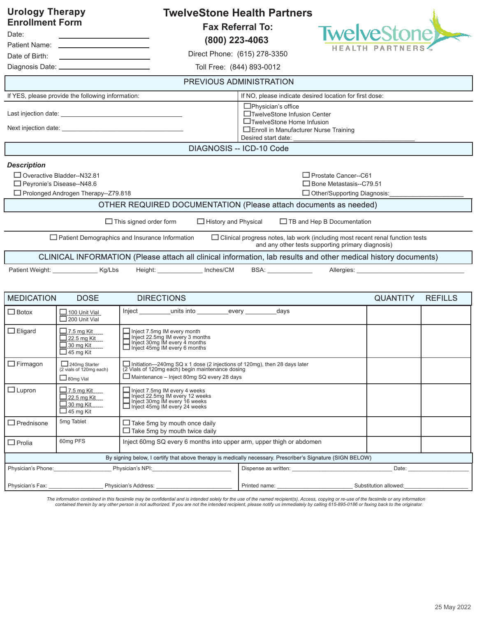| <b>Urology Therapy</b><br><b>Enrollment Form</b><br>Date:<br>Date of Birth:<br>the control of the control of the control of the control of the control of<br>Diagnosis Date: _______________________________                                                                                          | <b>TwelveStone Health Partners</b><br><b>Fax Referral To:</b><br>(800) 223-4063<br>Direct Phone: (615) 278-3350<br>Toll Free: (844) 893-0012 | <b>TwelveStonel</b><br><b>PARTNER</b>                                                                      |  |  |  |  |  |
|-------------------------------------------------------------------------------------------------------------------------------------------------------------------------------------------------------------------------------------------------------------------------------------------------------|----------------------------------------------------------------------------------------------------------------------------------------------|------------------------------------------------------------------------------------------------------------|--|--|--|--|--|
|                                                                                                                                                                                                                                                                                                       | PREVIOUS ADMINISTRATION                                                                                                                      |                                                                                                            |  |  |  |  |  |
| If YES, please provide the following information:                                                                                                                                                                                                                                                     | If NO, please indicate desired location for first dose:                                                                                      |                                                                                                            |  |  |  |  |  |
| Next injection date: Next injection date:                                                                                                                                                                                                                                                             | $\Box$ Physician's office<br>Desired start date:                                                                                             | □TwelveStone Infusion Center<br>□TwelveStone Home Infusion<br>$\Box$ Enroll in Manufacturer Nurse Training |  |  |  |  |  |
|                                                                                                                                                                                                                                                                                                       | <b>DIAGNOSIS -- ICD-10 Code</b>                                                                                                              |                                                                                                            |  |  |  |  |  |
| <b>Description</b><br>□ Overactive Bladder--N32.81<br>$\Box$ Prostate Cancer--C61<br>□ Peyronie's Disease--N48.6<br>$\Box$ Bone Metastasis--C79.51<br>□ Prolonged Androgen Therapy--Z79.818<br>$\Box$ Other/Supporting Diagnosis:<br>OTHER REQUIRED DOCUMENTATION (Please attach documents as needed) |                                                                                                                                              |                                                                                                            |  |  |  |  |  |
| $\Box$ This signed order form<br>$\Box$ History and Physical<br>□ TB and Hep B Documentation                                                                                                                                                                                                          |                                                                                                                                              |                                                                                                            |  |  |  |  |  |
| $\Box$ Patient Demographics and Insurance Information<br>$\Box$ Clinical progress notes, lab work (including most recent renal function tests<br>and any other tests supporting primary diagnosis)                                                                                                    |                                                                                                                                              |                                                                                                            |  |  |  |  |  |
|                                                                                                                                                                                                                                                                                                       | CLINICAL INFORMATION (Please attach all clinical information, lab results and other medical history documents)                               |                                                                                                            |  |  |  |  |  |
| Height: Inches/CM<br>Patient Weight: ____________________ Kg/Lbs                                                                                                                                                                                                                                      |                                                                                                                                              |                                                                                                            |  |  |  |  |  |
| <b>MEDICATION</b><br><b>DOSE</b>                                                                                                                                                                                                                                                                      | <b>DIRECTIONS</b>                                                                                                                            | <b>QUANTITY</b><br><b>REFILLS</b>                                                                          |  |  |  |  |  |
| $\Box$ Botox<br>$\Box$ 100 Unit Vial<br>200 Unit Vial                                                                                                                                                                                                                                                 | Inject units into every days                                                                                                                 |                                                                                                            |  |  |  |  |  |
| $\Box$ Eligard<br>$\Box$ 7.5 mg Kit<br>$\Box$ 22.5 mg Kit<br>$\Box$ 30 mg Kit<br>$\Box$ 45 mg Kit                                                                                                                                                                                                     | Inject 7.5mg IM every month<br>Inject 22.5mg IM every 3 months<br>Inject 30mg IM every 4 months<br>Inject 45mg IM every 6 months             |                                                                                                            |  |  |  |  |  |

|                                                                                                            | --------------<br>$\gimel$ 30 mg Kit<br>$\Box$ 45 mg Kit                        | $\Box$ inject 30mg IM every 4 months<br>$\Box$ Inject 45mg IM every 6 months                                                                                                   |                                                                                                                                                                                                                               |                       |  |  |  |
|------------------------------------------------------------------------------------------------------------|---------------------------------------------------------------------------------|--------------------------------------------------------------------------------------------------------------------------------------------------------------------------------|-------------------------------------------------------------------------------------------------------------------------------------------------------------------------------------------------------------------------------|-----------------------|--|--|--|
| $\Box$ Firmagon                                                                                            | 240mg Starter<br>(2 vials of 120mg each)<br>$\Box$ 80mg Vial                    | Initiation—240mg SQ x 1 dose (2 injections of 120mg), then 28 days later (2 Vials of 120mg each) begin maintenance dosing<br>$\Box$ Maintenance – Inject 80mg SQ every 28 days |                                                                                                                                                                                                                               |                       |  |  |  |
| $\Box$ Lupron                                                                                              | $\Box$ 7.5 mg Kit<br>$\Box$ 22.5 mg Kit<br>$\Box$ 30 mg Kit<br>$\_$ l 45 mg Kit | $\Box$ Inject 7.5mg IM every 4 weeks<br>Inject 22.5mg IM every 12 weeks<br>$\Box$ Inject 30mg IM every 16 weeks<br>□ Inject 45mg IM every 24 weeks                             |                                                                                                                                                                                                                               |                       |  |  |  |
| $\Box$ Prednisone                                                                                          | 5mg Tablet                                                                      | $\Box$ Take 5mg by mouth once daily<br>$\Box$ Take 5mg by mouth twice daily                                                                                                    |                                                                                                                                                                                                                               |                       |  |  |  |
| $\Box$ Prolia                                                                                              | 60mg PFS                                                                        | Inject 60mg SQ every 6 months into upper arm, upper thigh or abdomen                                                                                                           |                                                                                                                                                                                                                               |                       |  |  |  |
| By signing below, I certify that above therapy is medically necessary. Prescriber's Signature (SIGN BELOW) |                                                                                 |                                                                                                                                                                                |                                                                                                                                                                                                                               |                       |  |  |  |
| Physician's Phone:                                                                                         |                                                                                 | Physician's NPI:                                                                                                                                                               | Dispense as written:                                                                                                                                                                                                          | Date:                 |  |  |  |
| Physician's Fax: Physician's Fax:<br>Physician's Address:                                                  |                                                                                 |                                                                                                                                                                                | Printed name: The contract of the contract of the contract of the contract of the contract of the contract of the contract of the contract of the contract of the contract of the contract of the contract of the contract of | Substitution allowed: |  |  |  |

The information contained in this facsimile may be confidential and is intended solely for the use of the named recipient(s). Access, copying or re-use of the facsimile or any information<br>contained therein by any other per